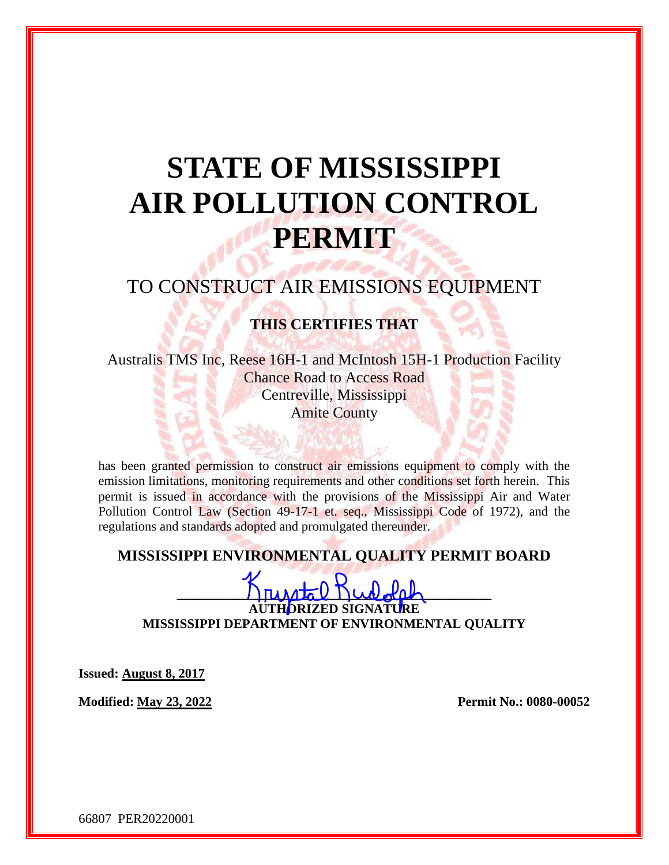# **STATE OF MISSISSIPPI AIR POLLUTION CONTROL PERMIT**

# TO CONSTRUCT AIR EMISSIONS EQUIPMENT

## **THIS CERTIFIES THAT**

Australis TMS Inc, Reese 16H-1 and McIntosh 15H-1 Production Facility Chance Road to Access Road Centreville, Mississippi Amite County

has been granted permission to construct air emissions equipment to comply with the emission limitations, monitoring requirements and other conditions set forth herein. This permit is issued in accordance with the provisions of the Mississippi Air and Water Pollution Control Law (Section 49-17-1 et. seq., Mississippi Code of 1972), and the regulations and standards adopted and promulgated thereunder.

## **MISSISSIPPI ENVIRONMENTAL QUALITY PERMIT BOARD**

 $\Box$ **AUTHORIZED SIGNATURE MISSISSIPPI DEPARTMENT OF ENVIRONMENTAL QUALITY**

**Issued: August 8, 2017**

**Modified: May 23, 2022 Permit No.: 0080-00052**

66807 PER20220001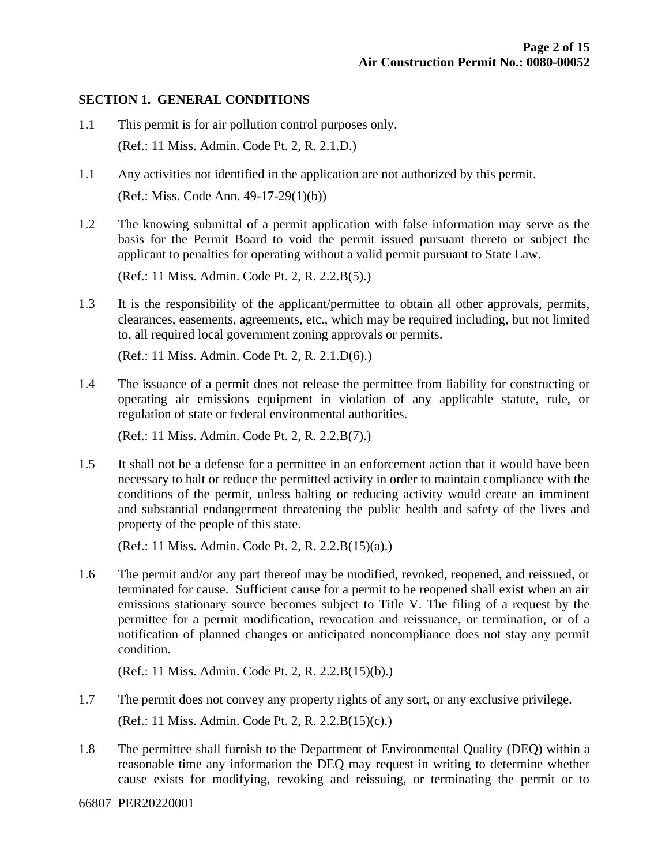#### **SECTION 1. GENERAL CONDITIONS**

- 1.1 This permit is for air pollution control purposes only. (Ref.: 11 Miss. Admin. Code Pt. 2, R. 2.1.D.)
- 1.1 Any activities not identified in the application are not authorized by this permit. (Ref.: Miss. Code Ann. 49-17-29(1)(b))
- 1.2 The knowing submittal of a permit application with false information may serve as the basis for the Permit Board to void the permit issued pursuant thereto or subject the applicant to penalties for operating without a valid permit pursuant to State Law.

(Ref.: 11 Miss. Admin. Code Pt. 2, R. 2.2.B(5).)

1.3 It is the responsibility of the applicant/permittee to obtain all other approvals, permits, clearances, easements, agreements, etc., which may be required including, but not limited to, all required local government zoning approvals or permits.

(Ref.: 11 Miss. Admin. Code Pt. 2, R. 2.1.D(6).)

1.4 The issuance of a permit does not release the permittee from liability for constructing or operating air emissions equipment in violation of any applicable statute, rule, or regulation of state or federal environmental authorities.

(Ref.: 11 Miss. Admin. Code Pt. 2, R. 2.2.B(7).)

1.5 It shall not be a defense for a permittee in an enforcement action that it would have been necessary to halt or reduce the permitted activity in order to maintain compliance with the conditions of the permit, unless halting or reducing activity would create an imminent and substantial endangerment threatening the public health and safety of the lives and property of the people of this state.

(Ref.: 11 Miss. Admin. Code Pt. 2, R. 2.2.B(15)(a).)

1.6 The permit and/or any part thereof may be modified, revoked, reopened, and reissued, or terminated for cause. Sufficient cause for a permit to be reopened shall exist when an air emissions stationary source becomes subject to Title V. The filing of a request by the permittee for a permit modification, revocation and reissuance, or termination, or of a notification of planned changes or anticipated noncompliance does not stay any permit condition.

(Ref.: 11 Miss. Admin. Code Pt. 2, R. 2.2.B(15)(b).)

- 1.7 The permit does not convey any property rights of any sort, or any exclusive privilege. (Ref.: 11 Miss. Admin. Code Pt. 2, R. 2.2.B(15)(c).)
- 1.8 The permittee shall furnish to the Department of Environmental Quality (DEQ) within a reasonable time any information the DEQ may request in writing to determine whether cause exists for modifying, revoking and reissuing, or terminating the permit or to

66807 PER20220001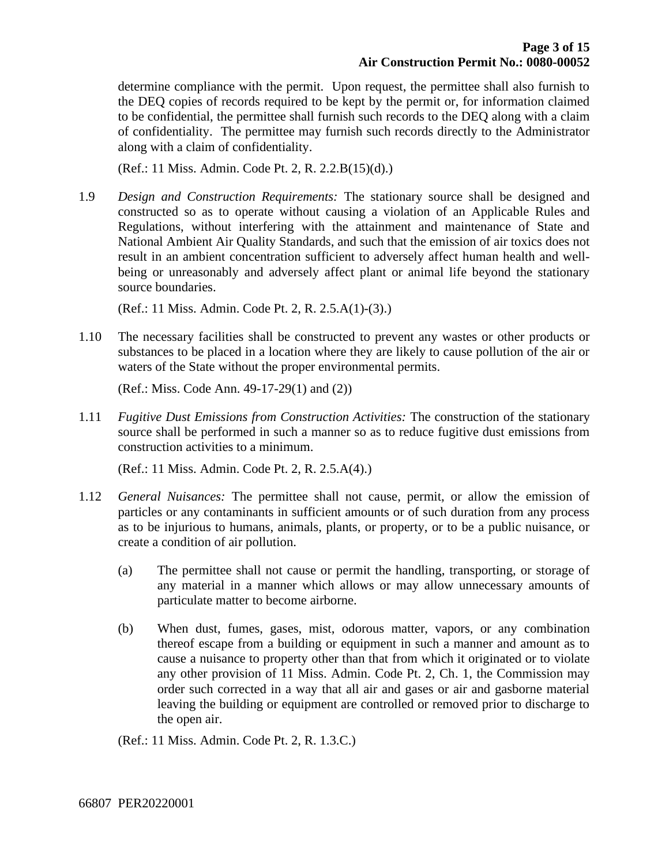determine compliance with the permit. Upon request, the permittee shall also furnish to the DEQ copies of records required to be kept by the permit or, for information claimed to be confidential, the permittee shall furnish such records to the DEQ along with a claim of confidentiality. The permittee may furnish such records directly to the Administrator along with a claim of confidentiality.

(Ref.: 11 Miss. Admin. Code Pt. 2, R. 2.2.B(15)(d).)

1.9 *Design and Construction Requirements:* The stationary source shall be designed and constructed so as to operate without causing a violation of an Applicable Rules and Regulations, without interfering with the attainment and maintenance of State and National Ambient Air Quality Standards, and such that the emission of air toxics does not result in an ambient concentration sufficient to adversely affect human health and wellbeing or unreasonably and adversely affect plant or animal life beyond the stationary source boundaries.

(Ref.: 11 Miss. Admin. Code Pt. 2, R. 2.5.A(1)-(3).)

1.10 The necessary facilities shall be constructed to prevent any wastes or other products or substances to be placed in a location where they are likely to cause pollution of the air or waters of the State without the proper environmental permits.

(Ref.: Miss. Code Ann. 49-17-29(1) and (2))

1.11 *Fugitive Dust Emissions from Construction Activities:* The construction of the stationary source shall be performed in such a manner so as to reduce fugitive dust emissions from construction activities to a minimum.

(Ref.: 11 Miss. Admin. Code Pt. 2, R. 2.5.A(4).)

- 1.12 *General Nuisances:* The permittee shall not cause, permit, or allow the emission of particles or any contaminants in sufficient amounts or of such duration from any process as to be injurious to humans, animals, plants, or property, or to be a public nuisance, or create a condition of air pollution.
	- (a) The permittee shall not cause or permit the handling, transporting, or storage of any material in a manner which allows or may allow unnecessary amounts of particulate matter to become airborne.
	- (b) When dust, fumes, gases, mist, odorous matter, vapors, or any combination thereof escape from a building or equipment in such a manner and amount as to cause a nuisance to property other than that from which it originated or to violate any other provision of 11 Miss. Admin. Code Pt. 2, Ch. 1, the Commission may order such corrected in a way that all air and gases or air and gasborne material leaving the building or equipment are controlled or removed prior to discharge to the open air.

(Ref.: 11 Miss. Admin. Code Pt. 2, R. 1.3.C.)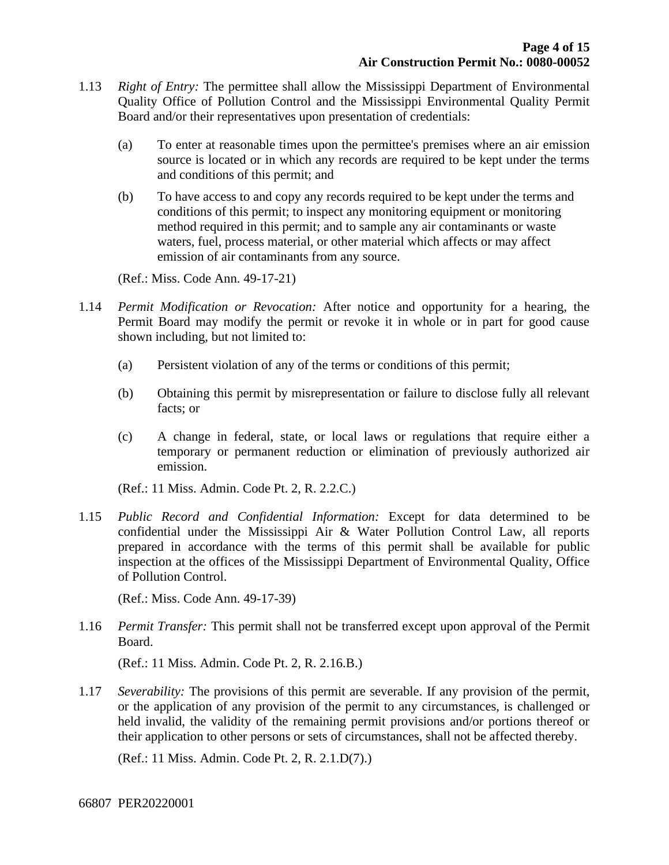- 1.13 *Right of Entry:* The permittee shall allow the Mississippi Department of Environmental Quality Office of Pollution Control and the Mississippi Environmental Quality Permit Board and/or their representatives upon presentation of credentials:
	- (a) To enter at reasonable times upon the permittee's premises where an air emission source is located or in which any records are required to be kept under the terms and conditions of this permit; and
	- (b) To have access to and copy any records required to be kept under the terms and conditions of this permit; to inspect any monitoring equipment or monitoring method required in this permit; and to sample any air contaminants or waste waters, fuel, process material, or other material which affects or may affect emission of air contaminants from any source.

(Ref.: Miss. Code Ann. 49-17-21)

- 1.14 *Permit Modification or Revocation:* After notice and opportunity for a hearing, the Permit Board may modify the permit or revoke it in whole or in part for good cause shown including, but not limited to:
	- (a) Persistent violation of any of the terms or conditions of this permit;
	- (b) Obtaining this permit by misrepresentation or failure to disclose fully all relevant facts; or
	- (c) A change in federal, state, or local laws or regulations that require either a temporary or permanent reduction or elimination of previously authorized air emission.

(Ref.: 11 Miss. Admin. Code Pt. 2, R. 2.2.C.)

1.15 *Public Record and Confidential Information:* Except for data determined to be confidential under the Mississippi Air & Water Pollution Control Law, all reports prepared in accordance with the terms of this permit shall be available for public inspection at the offices of the Mississippi Department of Environmental Quality, Office of Pollution Control.

(Ref.: Miss. Code Ann. 49-17-39)

1.16 *Permit Transfer:* This permit shall not be transferred except upon approval of the Permit Board.

(Ref.: 11 Miss. Admin. Code Pt. 2, R. 2.16.B.)

1.17 *Severability:* The provisions of this permit are severable. If any provision of the permit, or the application of any provision of the permit to any circumstances, is challenged or held invalid, the validity of the remaining permit provisions and/or portions thereof or their application to other persons or sets of circumstances, shall not be affected thereby.

(Ref.: 11 Miss. Admin. Code Pt. 2, R. 2.1.D(7).)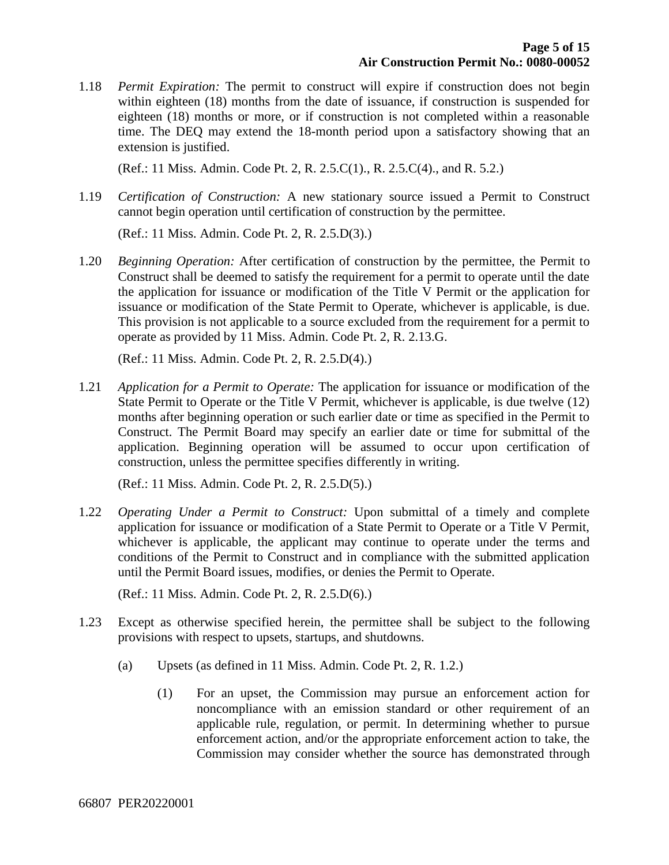1.18 *Permit Expiration:* The permit to construct will expire if construction does not begin within eighteen (18) months from the date of issuance, if construction is suspended for eighteen (18) months or more, or if construction is not completed within a reasonable time. The DEQ may extend the 18-month period upon a satisfactory showing that an extension is justified.

(Ref.: 11 Miss. Admin. Code Pt. 2, R. 2.5.C(1)., R. 2.5.C(4)., and R. 5.2.)

1.19 *Certification of Construction:* A new stationary source issued a Permit to Construct cannot begin operation until certification of construction by the permittee.

(Ref.: 11 Miss. Admin. Code Pt. 2, R. 2.5.D(3).)

1.20 *Beginning Operation:* After certification of construction by the permittee, the Permit to Construct shall be deemed to satisfy the requirement for a permit to operate until the date the application for issuance or modification of the Title V Permit or the application for issuance or modification of the State Permit to Operate, whichever is applicable, is due. This provision is not applicable to a source excluded from the requirement for a permit to operate as provided by 11 Miss. Admin. Code Pt. 2, R. 2.13.G.

(Ref.: 11 Miss. Admin. Code Pt. 2, R. 2.5.D(4).)

1.21 *Application for a Permit to Operate:* The application for issuance or modification of the State Permit to Operate or the Title V Permit, whichever is applicable, is due twelve (12) months after beginning operation or such earlier date or time as specified in the Permit to Construct. The Permit Board may specify an earlier date or time for submittal of the application. Beginning operation will be assumed to occur upon certification of construction, unless the permittee specifies differently in writing.

(Ref.: 11 Miss. Admin. Code Pt. 2, R. 2.5.D(5).)

1.22 *Operating Under a Permit to Construct:* Upon submittal of a timely and complete application for issuance or modification of a State Permit to Operate or a Title V Permit, whichever is applicable, the applicant may continue to operate under the terms and conditions of the Permit to Construct and in compliance with the submitted application until the Permit Board issues, modifies, or denies the Permit to Operate.

(Ref.: 11 Miss. Admin. Code Pt. 2, R. 2.5.D(6).)

- 1.23 Except as otherwise specified herein, the permittee shall be subject to the following provisions with respect to upsets, startups, and shutdowns.
	- (a) Upsets (as defined in 11 Miss. Admin. Code Pt. 2, R. 1.2.)
		- (1) For an upset, the Commission may pursue an enforcement action for noncompliance with an emission standard or other requirement of an applicable rule, regulation, or permit. In determining whether to pursue enforcement action, and/or the appropriate enforcement action to take, the Commission may consider whether the source has demonstrated through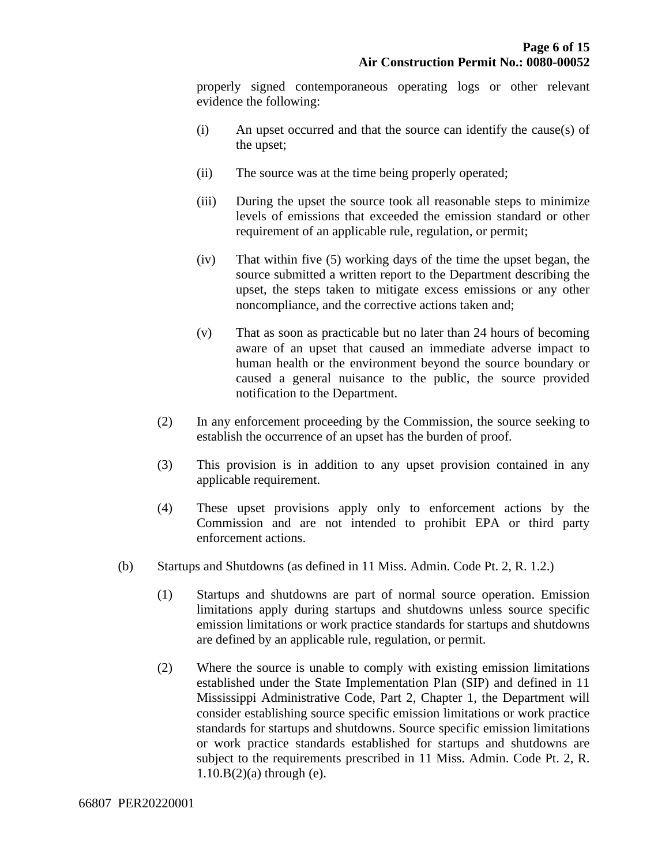properly signed contemporaneous operating logs or other relevant evidence the following:

- (i) An upset occurred and that the source can identify the cause(s) of the upset;
- (ii) The source was at the time being properly operated;
- (iii) During the upset the source took all reasonable steps to minimize levels of emissions that exceeded the emission standard or other requirement of an applicable rule, regulation, or permit;
- (iv) That within five (5) working days of the time the upset began, the source submitted a written report to the Department describing the upset, the steps taken to mitigate excess emissions or any other noncompliance, and the corrective actions taken and;
- (v) That as soon as practicable but no later than 24 hours of becoming aware of an upset that caused an immediate adverse impact to human health or the environment beyond the source boundary or caused a general nuisance to the public, the source provided notification to the Department.
- (2) In any enforcement proceeding by the Commission, the source seeking to establish the occurrence of an upset has the burden of proof.
- (3) This provision is in addition to any upset provision contained in any applicable requirement.
- (4) These upset provisions apply only to enforcement actions by the Commission and are not intended to prohibit EPA or third party enforcement actions.
- (b) Startups and Shutdowns (as defined in 11 Miss. Admin. Code Pt. 2, R. 1.2.)
	- (1) Startups and shutdowns are part of normal source operation. Emission limitations apply during startups and shutdowns unless source specific emission limitations or work practice standards for startups and shutdowns are defined by an applicable rule, regulation, or permit.
	- (2) Where the source is unable to comply with existing emission limitations established under the State Implementation Plan (SIP) and defined in 11 Mississippi Administrative Code, Part 2, Chapter 1, the Department will consider establishing source specific emission limitations or work practice standards for startups and shutdowns. Source specific emission limitations or work practice standards established for startups and shutdowns are subject to the requirements prescribed in 11 Miss. Admin. Code Pt. 2, R.  $1.10.B(2)$ (a) through (e).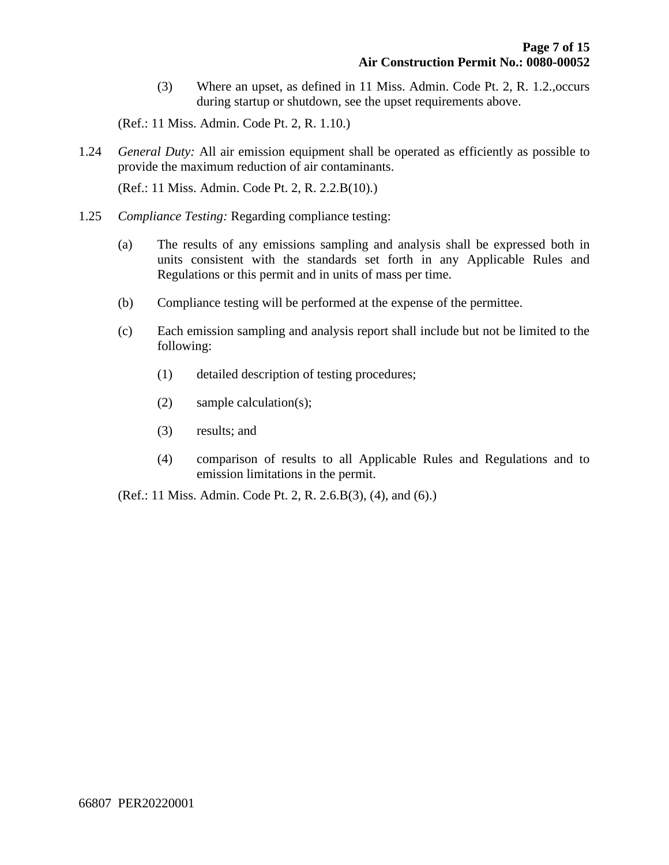(3) Where an upset, as defined in 11 Miss. Admin. Code Pt. 2, R. 1.2.,occurs during startup or shutdown, see the upset requirements above.

(Ref.: 11 Miss. Admin. Code Pt. 2, R. 1.10.)

1.24 *General Duty:* All air emission equipment shall be operated as efficiently as possible to provide the maximum reduction of air contaminants.

(Ref.: 11 Miss. Admin. Code Pt. 2, R. 2.2.B(10).)

- 1.25 *Compliance Testing:* Regarding compliance testing:
	- (a) The results of any emissions sampling and analysis shall be expressed both in units consistent with the standards set forth in any Applicable Rules and Regulations or this permit and in units of mass per time.
	- (b) Compliance testing will be performed at the expense of the permittee.
	- (c) Each emission sampling and analysis report shall include but not be limited to the following:
		- (1) detailed description of testing procedures;
		- (2) sample calculation(s);
		- (3) results; and
		- (4) comparison of results to all Applicable Rules and Regulations and to emission limitations in the permit.

(Ref.: 11 Miss. Admin. Code Pt. 2, R. 2.6.B(3), (4), and (6).)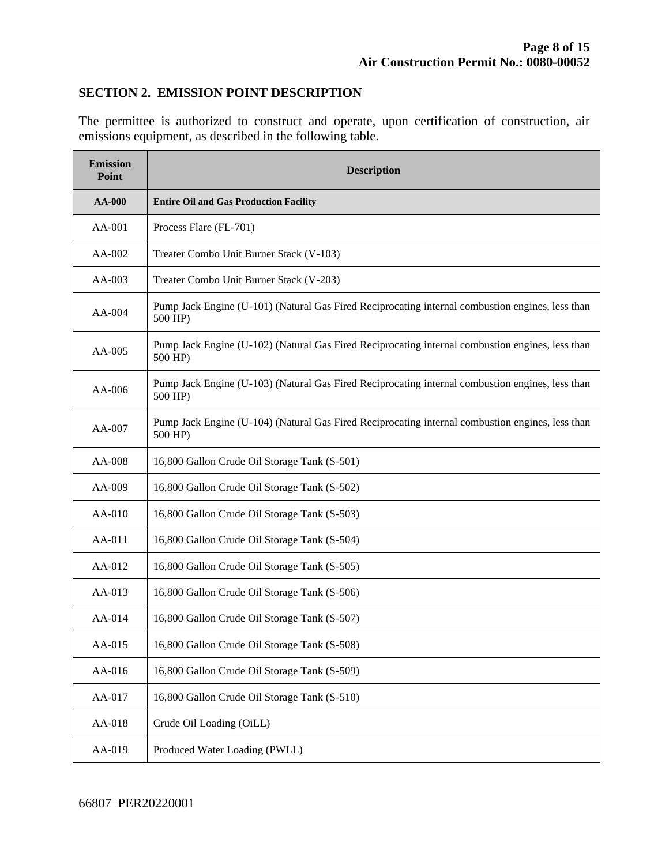#### **SECTION 2. EMISSION POINT DESCRIPTION**

The permittee is authorized to construct and operate, upon certification of construction, air emissions equipment, as described in the following table.

| <b>Emission</b><br>Point | <b>Description</b>                                                                                          |  |  |
|--------------------------|-------------------------------------------------------------------------------------------------------------|--|--|
| <b>AA-000</b>            | <b>Entire Oil and Gas Production Facility</b>                                                               |  |  |
| AA-001                   | Process Flare (FL-701)                                                                                      |  |  |
| AA-002                   | Treater Combo Unit Burner Stack (V-103)                                                                     |  |  |
| AA-003                   | Treater Combo Unit Burner Stack (V-203)                                                                     |  |  |
| $AA-004$                 | Pump Jack Engine (U-101) (Natural Gas Fired Reciprocating internal combustion engines, less than<br>500 HP) |  |  |
| AA-005                   | Pump Jack Engine (U-102) (Natural Gas Fired Reciprocating internal combustion engines, less than<br>500 HP) |  |  |
| $AA-006$                 | Pump Jack Engine (U-103) (Natural Gas Fired Reciprocating internal combustion engines, less than<br>500 HP) |  |  |
| AA-007                   | Pump Jack Engine (U-104) (Natural Gas Fired Reciprocating internal combustion engines, less than<br>500 HP) |  |  |
| AA-008                   | 16,800 Gallon Crude Oil Storage Tank (S-501)                                                                |  |  |
| AA-009                   | 16,800 Gallon Crude Oil Storage Tank (S-502)                                                                |  |  |
| $AA-010$                 | 16,800 Gallon Crude Oil Storage Tank (S-503)                                                                |  |  |
| AA-011                   | 16,800 Gallon Crude Oil Storage Tank (S-504)                                                                |  |  |
| AA-012                   | 16,800 Gallon Crude Oil Storage Tank (S-505)                                                                |  |  |
| $AA-013$                 | 16,800 Gallon Crude Oil Storage Tank (S-506)                                                                |  |  |
| AA-014                   | 16,800 Gallon Crude Oil Storage Tank (S-507)                                                                |  |  |
| AA-015                   | 16,800 Gallon Crude Oil Storage Tank (S-508)                                                                |  |  |
| AA-016                   | 16,800 Gallon Crude Oil Storage Tank (S-509)                                                                |  |  |
| AA-017                   | 16,800 Gallon Crude Oil Storage Tank (S-510)                                                                |  |  |
| AA-018                   | Crude Oil Loading (OiLL)                                                                                    |  |  |
| AA-019                   | Produced Water Loading (PWLL)                                                                               |  |  |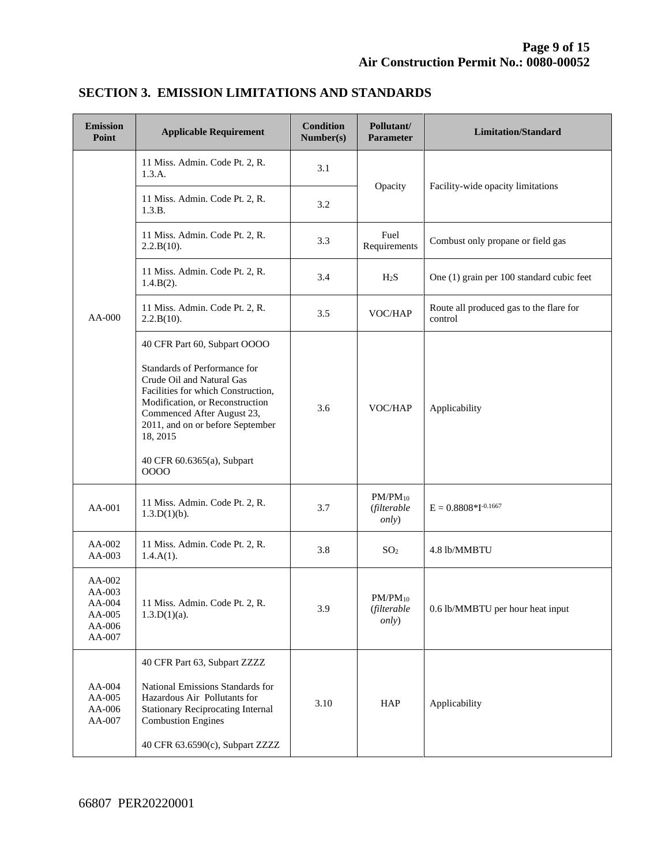| <b>Emission</b><br>Point                                 | <b>Applicable Requirement</b>                                                                                                                                                                                                                                                          | <b>Condition</b><br>Number(s) | Pollutant/<br><b>Parameter</b>               | <b>Limitation/Standard</b>                         |
|----------------------------------------------------------|----------------------------------------------------------------------------------------------------------------------------------------------------------------------------------------------------------------------------------------------------------------------------------------|-------------------------------|----------------------------------------------|----------------------------------------------------|
|                                                          | 11 Miss. Admin. Code Pt. 2, R.<br>1.3.A.                                                                                                                                                                                                                                               | 3.1                           |                                              | Facility-wide opacity limitations                  |
|                                                          | 11 Miss. Admin. Code Pt. 2, R.<br>1.3.B.                                                                                                                                                                                                                                               | 3.2                           | Opacity                                      |                                                    |
|                                                          | 11 Miss. Admin. Code Pt. 2, R.<br>2.2.B(10).                                                                                                                                                                                                                                           | 3.3                           | Fuel<br>Requirements                         | Combust only propane or field gas                  |
|                                                          | 11 Miss. Admin. Code Pt. 2, R.<br>1.4.B(2).                                                                                                                                                                                                                                            | 3.4                           | H <sub>2</sub> S                             | One (1) grain per 100 standard cubic feet          |
| AA-000                                                   | 11 Miss. Admin. Code Pt. 2, R.<br>2.2.B(10).                                                                                                                                                                                                                                           | 3.5                           | VOC/HAP                                      | Route all produced gas to the flare for<br>control |
|                                                          | 40 CFR Part 60, Subpart OOOO<br>Standards of Performance for<br>Crude Oil and Natural Gas<br>Facilities for which Construction,<br>Modification, or Reconstruction<br>Commenced After August 23,<br>2011, and on or before September<br>18, 2015<br>40 CFR 60.6365(a), Subpart<br>0000 | 3.6                           | VOC/HAP                                      | Applicability                                      |
| AA-001                                                   | 11 Miss. Admin. Code Pt. 2, R.<br>1.3.D(1)(b).                                                                                                                                                                                                                                         | 3.7                           | $PM/PM_{10}$<br>(filterable<br><i>only</i> ) | $E = 0.8808 * I^{-0.1667}$                         |
| AA-002<br>AA-003                                         | 11 Miss. Admin. Code Pt. 2, R.<br>$1.4.A(1)$ .                                                                                                                                                                                                                                         | 3.8                           | SO <sub>2</sub>                              | 4.8 lb/MMBTU                                       |
| AA-002<br>AA-003<br>AA-004<br>AA-005<br>AA-006<br>AA-007 | 11 Miss. Admin. Code Pt. 2, R.<br>$1.3.D(1)(a)$ .                                                                                                                                                                                                                                      | 3.9                           | $PM/PM_{10}$<br>(filterable<br>only)         | 0.6 lb/MMBTU per hour heat input                   |
| $AA-004$<br>AA-005<br>AA-006<br>AA-007                   | 40 CFR Part 63, Subpart ZZZZ<br>National Emissions Standards for<br>Hazardous Air Pollutants for<br><b>Stationary Reciprocating Internal</b><br><b>Combustion Engines</b><br>40 CFR 63.6590(c), Subpart ZZZZ                                                                           | 3.10                          | HAP                                          | Applicability                                      |

### **SECTION 3. EMISSION LIMITATIONS AND STANDARDS**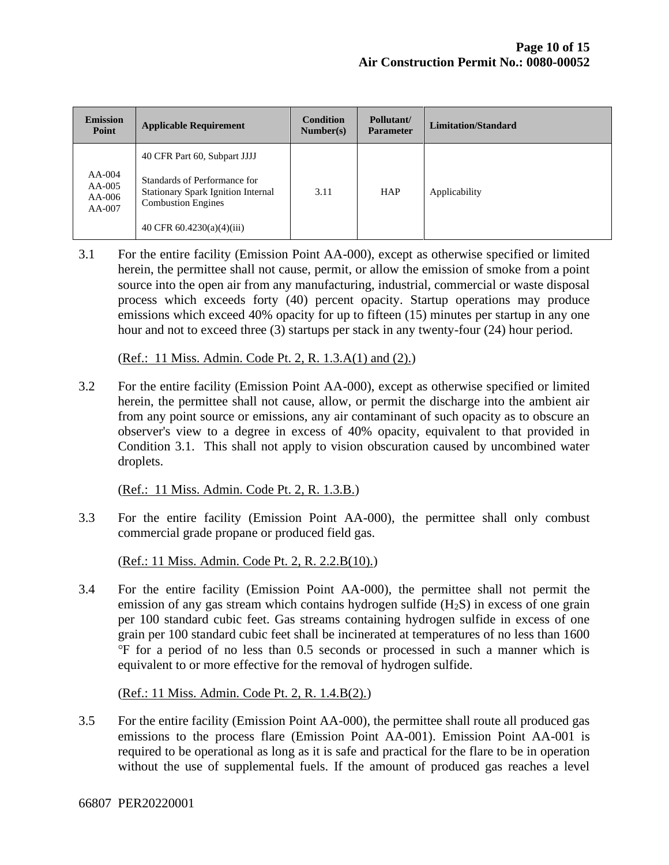| <b>Emission</b><br>Point                     | <b>Applicable Requirement</b>                                                                                                                                         | <b>Condition</b><br>Number(s) | Pollutant/<br><b>Parameter</b> | Limitation/Standard |
|----------------------------------------------|-----------------------------------------------------------------------------------------------------------------------------------------------------------------------|-------------------------------|--------------------------------|---------------------|
| $AA-004$<br>$AA-005$<br>$AA-006$<br>$AA-007$ | 40 CFR Part 60, Subpart JJJJ<br>Standards of Performance for<br><b>Stationary Spark Ignition Internal</b><br><b>Combustion Engines</b><br>40 CFR $60.4230(a)(4)(iii)$ | 3.11                          | <b>HAP</b>                     | Applicability       |

3.1 For the entire facility (Emission Point AA-000), except as otherwise specified or limited herein, the permittee shall not cause, permit, or allow the emission of smoke from a point source into the open air from any manufacturing, industrial, commercial or waste disposal process which exceeds forty (40) percent opacity. Startup operations may produce emissions which exceed 40% opacity for up to fifteen (15) minutes per startup in any one hour and not to exceed three (3) startups per stack in any twenty-four (24) hour period.

(Ref.: 11 Miss. Admin. Code Pt. 2, R. 1.3.A(1) and (2).)

3.2 For the entire facility (Emission Point AA-000), except as otherwise specified or limited herein, the permittee shall not cause, allow, or permit the discharge into the ambient air from any point source or emissions, any air contaminant of such opacity as to obscure an observer's view to a degree in excess of 40% opacity, equivalent to that provided in Condition 3.1. This shall not apply to vision obscuration caused by uncombined water droplets.

(Ref.: 11 Miss. Admin. Code Pt. 2, R. 1.3.B.)

3.3 For the entire facility (Emission Point AA-000), the permittee shall only combust commercial grade propane or produced field gas.

(Ref.: 11 Miss. Admin. Code Pt. 2, R. 2.2.B(10).)

3.4 For the entire facility (Emission Point AA-000), the permittee shall not permit the emission of any gas stream which contains hydrogen sulfide  $(H_2S)$  in excess of one grain per 100 standard cubic feet. Gas streams containing hydrogen sulfide in excess of one grain per 100 standard cubic feet shall be incinerated at temperatures of no less than 1600 ℉ for a period of no less than 0.5 seconds or processed in such a manner which is equivalent to or more effective for the removal of hydrogen sulfide.

(Ref.: 11 Miss. Admin. Code Pt. 2, R. 1.4.B(2).)

3.5 For the entire facility (Emission Point AA-000), the permittee shall route all produced gas emissions to the process flare (Emission Point AA-001). Emission Point AA-001 is required to be operational as long as it is safe and practical for the flare to be in operation without the use of supplemental fuels. If the amount of produced gas reaches a level

66807 PER20220001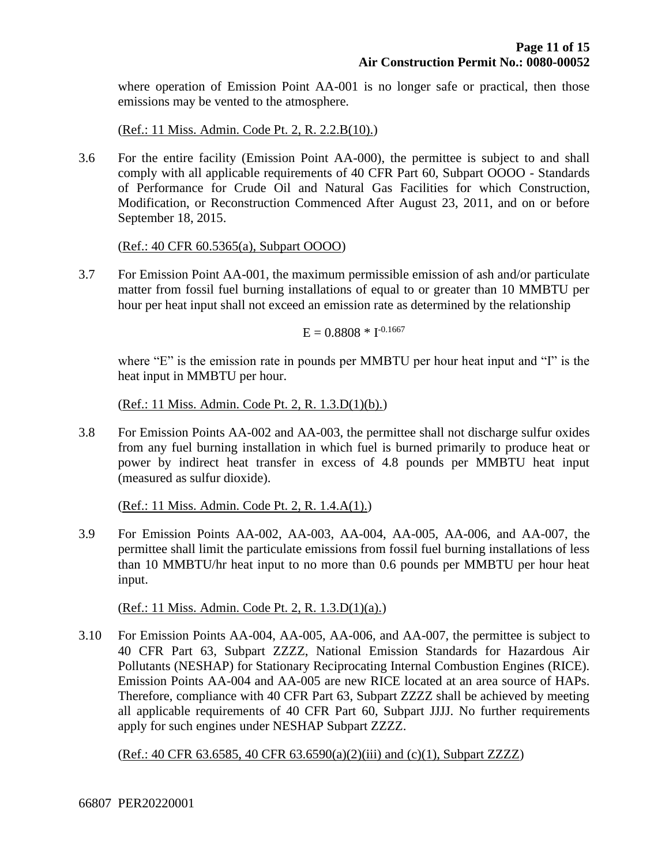where operation of Emission Point AA-001 is no longer safe or practical, then those emissions may be vented to the atmosphere.

(Ref.: 11 Miss. Admin. Code Pt. 2, R. 2.2.B(10).)

3.6 For the entire facility (Emission Point AA-000), the permittee is subject to and shall comply with all applicable requirements of 40 CFR Part 60, Subpart OOOO - Standards of Performance for Crude Oil and Natural Gas Facilities for which Construction, Modification, or Reconstruction Commenced After August 23, 2011, and on or before September 18, 2015.

(Ref.: 40 CFR 60.5365(a), Subpart OOOO)

3.7 For Emission Point AA-001, the maximum permissible emission of ash and/or particulate matter from fossil fuel burning installations of equal to or greater than 10 MMBTU per hour per heat input shall not exceed an emission rate as determined by the relationship

 $E = 0.8808 * I^{-0.1667}$ 

where "E" is the emission rate in pounds per MMBTU per hour heat input and "I" is the heat input in MMBTU per hour.

(Ref.: 11 Miss. Admin. Code Pt. 2, R. 1.3.D(1)(b).)

3.8 For Emission Points AA-002 and AA-003, the permittee shall not discharge sulfur oxides from any fuel burning installation in which fuel is burned primarily to produce heat or power by indirect heat transfer in excess of 4.8 pounds per MMBTU heat input (measured as sulfur dioxide).

(Ref.: 11 Miss. Admin. Code Pt. 2, R. 1.4.A(1).)

3.9 For Emission Points AA-002, AA-003, AA-004, AA-005, AA-006, and AA-007, the permittee shall limit the particulate emissions from fossil fuel burning installations of less than 10 MMBTU/hr heat input to no more than 0.6 pounds per MMBTU per hour heat input.

(Ref.: 11 Miss. Admin. Code Pt. 2, R. 1.3.D(1)(a).)

3.10 For Emission Points AA-004, AA-005, AA-006, and AA-007, the permittee is subject to 40 CFR Part 63, Subpart ZZZZ, National Emission Standards for Hazardous Air Pollutants (NESHAP) for Stationary Reciprocating Internal Combustion Engines (RICE). Emission Points AA-004 and AA-005 are new RICE located at an area source of HAPs. Therefore, compliance with 40 CFR Part 63, Subpart ZZZZ shall be achieved by meeting all applicable requirements of 40 CFR Part 60, Subpart JJJJ. No further requirements apply for such engines under NESHAP Subpart ZZZZ.

(Ref.: 40 CFR 63.6585, 40 CFR 63.6590(a)(2)(iii) and (c)(1), Subpart ZZZZ)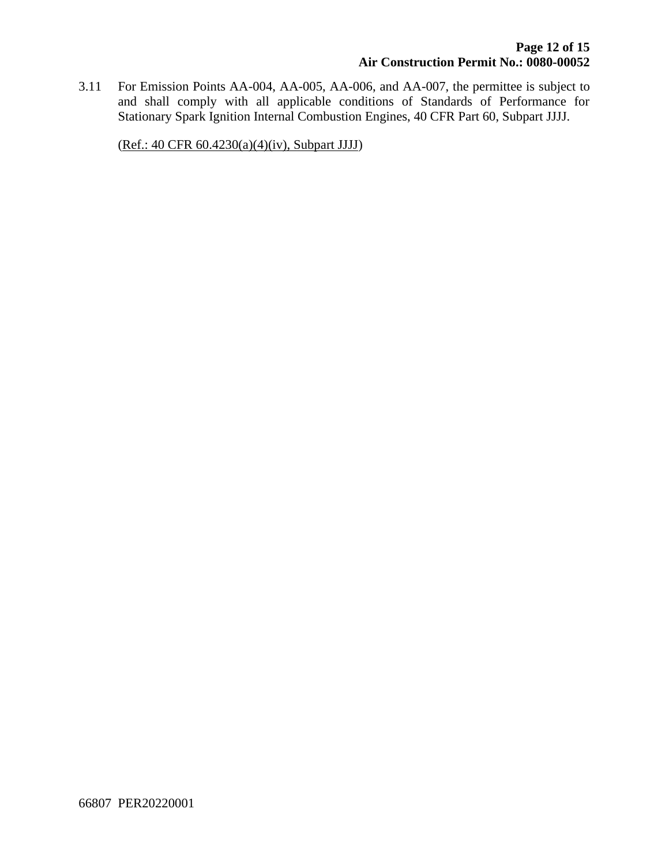3.11 For Emission Points AA-004, AA-005, AA-006, and AA-007, the permittee is subject to and shall comply with all applicable conditions of Standards of Performance for Stationary Spark Ignition Internal Combustion Engines, 40 CFR Part 60, Subpart JJJJ.

(Ref.: 40 CFR 60.4230(a)(4)(iv), Subpart JJJJ)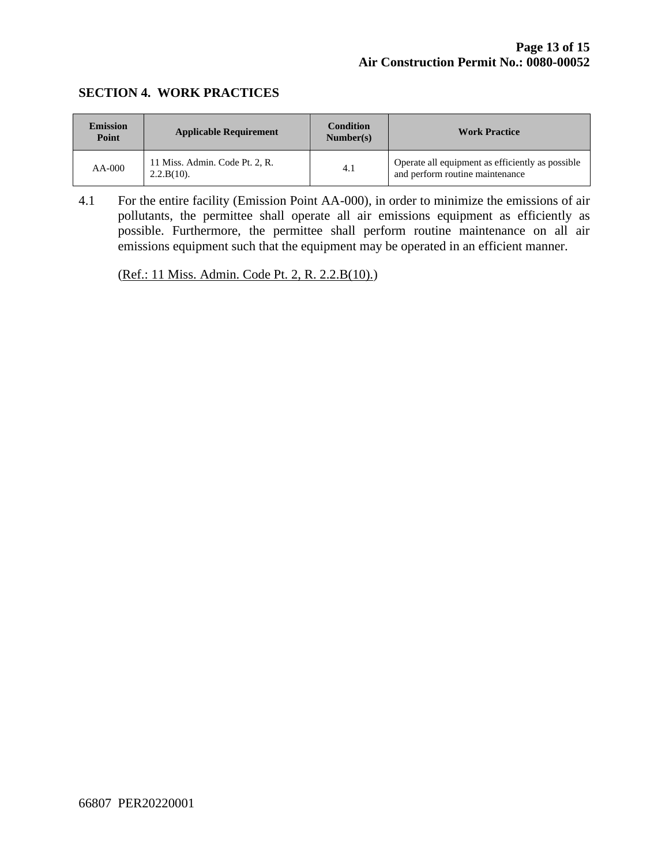#### **SECTION 4. WORK PRACTICES**

| <b>Emission</b><br>Point | <b>Applicable Requirement</b>                   | <b>Condition</b><br>Number(s) | <b>Work Practice</b>                                                                |
|--------------------------|-------------------------------------------------|-------------------------------|-------------------------------------------------------------------------------------|
| $AA-000$                 | 11 Miss. Admin. Code Pt. 2, R.<br>$2.2.B(10)$ . | 4.1                           | Operate all equipment as efficiently as possible<br>and perform routine maintenance |

4.1 For the entire facility (Emission Point AA-000), in order to minimize the emissions of air pollutants, the permittee shall operate all air emissions equipment as efficiently as possible. Furthermore, the permittee shall perform routine maintenance on all air emissions equipment such that the equipment may be operated in an efficient manner.

(Ref.: 11 Miss. Admin. Code Pt. 2, R. 2.2.B(10).)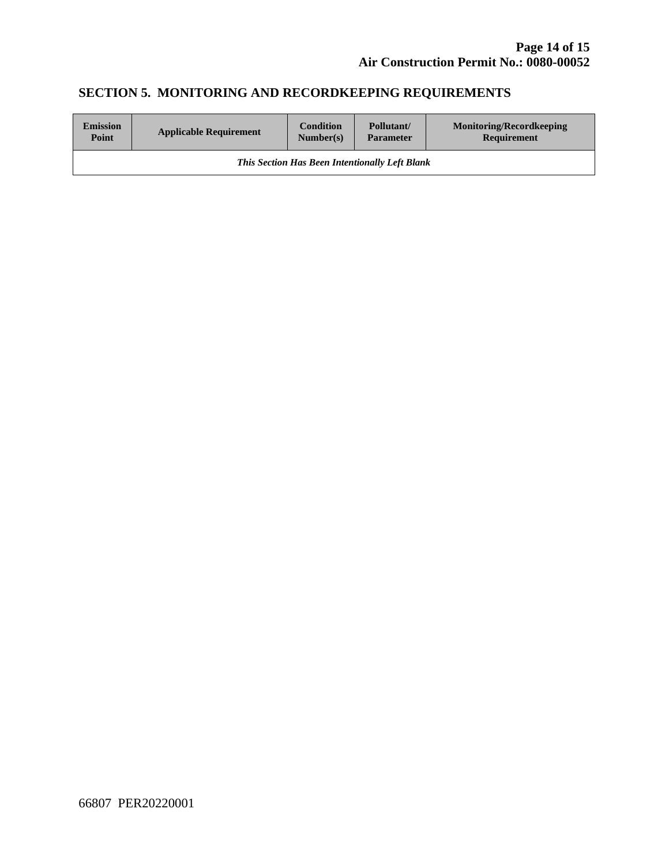# **SECTION 5. MONITORING AND RECORDKEEPING REQUIREMENTS**

| <b>Emission</b>                                       | <b>Applicable Requirement</b> | <b>Condition</b> | Pollutant/       | <b>Monitoring/Recordkeeping</b> |  |
|-------------------------------------------------------|-------------------------------|------------------|------------------|---------------------------------|--|
| Point                                                 |                               | Number(s)        | <b>Parameter</b> | Requirement                     |  |
| <b>This Section Has Been Intentionally Left Blank</b> |                               |                  |                  |                                 |  |